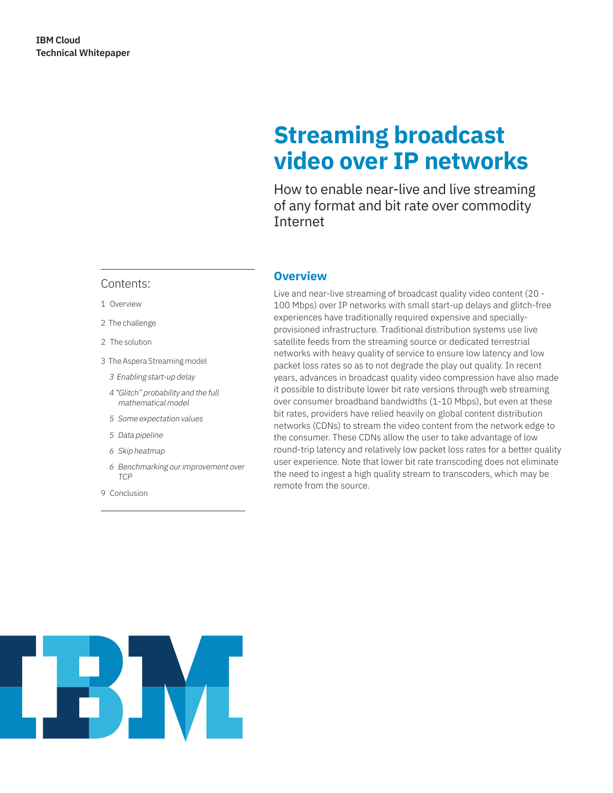# **Streaming broadcast video over IP networks**

How to enable near-live and live streaming of any format and bit rate over commodity Internet

#### Contents:

- 1 Overview
- 2 The challenge
- 2 The solution
- 3 The Aspera Streaming model
	- 3 Enabling start-up delay
	- 4 "Glitch" probability and the full mathematical model
	- 5 Some expectation values
	- 5 Data pipeline
	- 6 Skip heatmap
	- 6 Benchmarking our improvement over TCP
- 9 Conclusion

# **Overview**

Live and near-live streaming of broadcast quality video content (20 - 100 Mbps) over IP networks with small start-up delays and glitch-free experiences have traditionally required expensive and speciallyprovisioned infrastructure. Traditional distribution systems use live satellite feeds from the streaming source or dedicated terrestrial networks with heavy quality of service to ensure low latency and low packet loss rates so as to not degrade the play out quality. In recent years, advances in broadcast quality video compression have also made it possible to distribute lower bit rate versions through web streaming over consumer broadband bandwidths (1-10 Mbps), but even at these bit rates, providers have relied heavily on global content distribution networks (CDNs) to stream the video content from the network edge to the consumer. These CDNs allow the user to take advantage of low round-trip latency and relatively low packet loss rates for a better quality user experience. Note that lower bit rate transcoding does not eliminate the need to ingest a high quality stream to transcoders, which may be remote from the source.

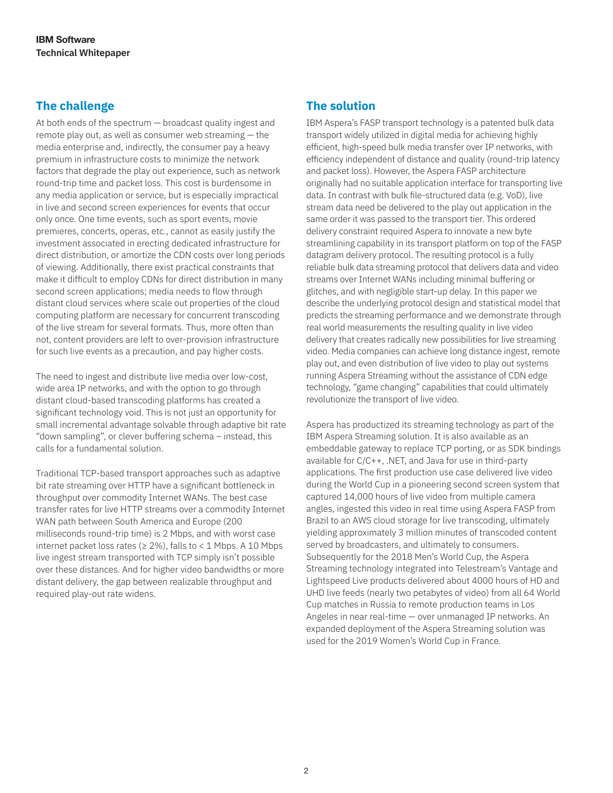# **The challenge**

At both ends of the spectrum — broadcast quality ingest and remote play out, as well as consumer web streaming — the media enterprise and, indirectly, the consumer pay a heavy premium in infrastructure costs to minimize the network factors that degrade the play out experience, such as network round-trip time and packet loss. This cost is burdensome in any media application or service, but is especially impractical in live and second screen experiences for events that occur only once. One time events, such as sport events, movie premieres, concerts, operas, etc., cannot as easily justify the investment associated in erecting dedicated infrastructure for direct distribution, or amortize the CDN costs over long periods of viewing. Additionally, there exist practical constraints that make it difficult to employ CDNs for direct distribution in many second screen applications; media needs to flow through distant cloud services where scale out properties of the cloud computing platform are necessary for concurrent transcoding of the live stream for several formats. Thus, more often than not, content providers are left to over-provision infrastructure for such live events as a precaution, and pay higher costs.

The need to ingest and distribute live media over low-cost, wide area IP networks, and with the option to go through distant cloud-based transcoding platforms has created a significant technology void. This is not just an opportunity for small incremental advantage solvable through adaptive bit rate "down sampling", or clever buffering schema – instead, this calls for a fundamental solution.

Traditional TCP-based transport approaches such as adaptive bit rate streaming over HTTP have a significant bottleneck in throughput over commodity Internet WANs. The best case transfer rates for live HTTP streams over a commodity Internet WAN path between South America and Europe (200 milliseconds round-trip time) is 2 Mbps, and with worst case internet packet loss rates ( $\geq$  2%), falls to < 1 Mbps. A 10 Mbps live ingest stream transported with TCP simply isn't possible over these distances. And for higher video bandwidths or more distant delivery, the gap between realizable throughput and required play-out rate widens.

# **The solution**

IBM Aspera's FASP transport technology is a patented bulk data transport widely utilized in digital media for achieving highly efficient, high-speed bulk media transfer over IP networks, with efficiency independent of distance and quality (round-trip latency and packet loss). However, the Aspera FASP architecture originally had no suitable application interface for transporting live data. In contrast with bulk file-structured data (e.g. VoD), live stream data need be delivered to the play out application in the same order it was passed to the transport tier. This ordered delivery constraint required Aspera to innovate a new byte streamlining capability in its transport platform on top of the FASP datagram delivery protocol. The resulting protocol is a fully reliable bulk data streaming protocol that delivers data and video streams over Internet WANs including minimal buffering or glitches, and with negligible start-up delay. In this paper we describe the underlying protocol design and statistical model that predicts the streaming performance and we demonstrate through real world measurements the resulting quality in live video delivery that creates radically new possibilities for live streaming video. Media companies can achieve long distance ingest, remote play out, and even distribution of live video to play out systems running Aspera Streaming without the assistance of CDN edge technology, "game changing" capabilities that could ultimately revolutionize the transport of live video.

Aspera has productized its streaming technology as part of the IBM Aspera Streaming solution. It is also available as an embeddable gateway to replace TCP porting, or as SDK bindings available for C/C++, .NET, and Java for use in third-party applications. The first production use case delivered live video during the World Cup in a pioneering second screen system that captured 14,000 hours of live video from multiple camera angles, ingested this video in real time using Aspera FASP from Brazil to an AWS cloud storage for live transcoding, ultimately yielding approximately 3 million minutes of transcoded content served by broadcasters, and ultimately to consumers. Subsequently for the 2018 Men's World Cup, the Aspera Streaming technology integrated into Telestream's Vantage and Lightspeed Live products delivered about 4000 hours of HD and UHD live feeds (nearly two petabytes of video) from all 64 World Cup matches in Russia to remote production teams in Los Angeles in near real-time — over unmanaged IP networks. An expanded deployment of the Aspera Streaming solution was used for the 2019 Women's World Cup in France.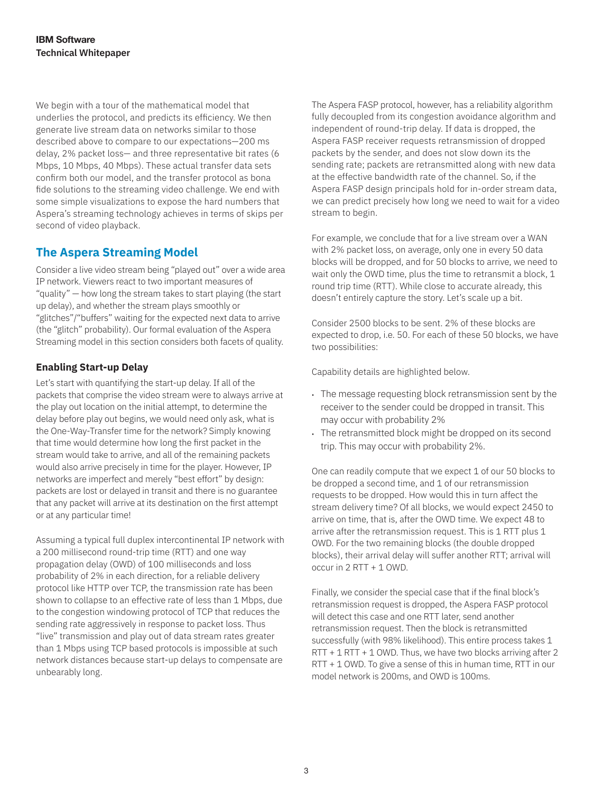We begin with a tour of the mathematical model that underlies the protocol, and predicts its efficiency. We then generate live stream data on networks similar to those described above to compare to our expectations—200 ms delay, 2% packet loss— and three representative bit rates (6 Mbps, 10 Mbps, 40 Mbps). These actual transfer data sets confirm both our model, and the transfer protocol as bona fide solutions to the streaming video challenge. We end with some simple visualizations to expose the hard numbers that Aspera's streaming technology achieves in terms of skips per second of video playback.

## **The Aspera Streaming Model**

Consider a live video stream being "played out" over a wide area IP network. Viewers react to two important measures of "quality" — how long the stream takes to start playing (the start up delay), and whether the stream plays smoothly or "glitches"/"buffers" waiting for the expected next data to arrive (the "glitch" probability). Our formal evaluation of the Aspera Streaming model in this section considers both facets of quality.

## **Enabling Start-up Delay**

Let's start with quantifying the start-up delay. If all of the packets that comprise the video stream were to always arrive at the play out location on the initial attempt, to determine the delay before play out begins, we would need only ask, what is the One-Way-Transfer time for the network? Simply knowing that time would determine how long the first packet in the stream would take to arrive, and all of the remaining packets would also arrive precisely in time for the player. However, IP networks are imperfect and merely "best effort" by design: packets are lost or delayed in transit and there is no guarantee that any packet will arrive at its destination on the first attempt or at any particular time!

Assuming a typical full duplex intercontinental IP network with a 200 millisecond round-trip time (RTT) and one way propagation delay (OWD) of 100 milliseconds and loss probability of 2% in each direction, for a reliable delivery protocol like HTTP over TCP, the transmission rate has been shown to collapse to an effective rate of less than 1 Mbps, due to the congestion windowing protocol of TCP that reduces the sending rate aggressively in response to packet loss. Thus "live" transmission and play out of data stream rates greater than 1 Mbps using TCP based protocols is impossible at such network distances because start-up delays to compensate are unbearably long.

The Aspera FASP protocol, however, has a reliability algorithm fully decoupled from its congestion avoidance algorithm and independent of round-trip delay. If data is dropped, the Aspera FASP receiver requests retransmission of dropped packets by the sender, and does not slow down its the sending rate; packets are retransmitted along with new data at the effective bandwidth rate of the channel. So, if the Aspera FASP design principals hold for in-order stream data, we can predict precisely how long we need to wait for a video stream to begin.

For example, we conclude that for a live stream over a WAN with 2% packet loss, on average, only one in every 50 data blocks will be dropped, and for 50 blocks to arrive, we need to wait only the OWD time, plus the time to retransmit a block, 1 round trip time (RTT). While close to accurate already, this doesn't entirely capture the story. Let's scale up a bit.

Consider 2500 blocks to be sent. 2% of these blocks are expected to drop, i.e. 50. For each of these 50 blocks, we have two possibilities:

Capability details are highlighted below.

- The message requesting block retransmission sent by the receiver to the sender could be dropped in transit. This may occur with probability 2%
- The retransmitted block might be dropped on its second trip. This may occur with probability 2%.

One can readily compute that we expect 1 of our 50 blocks to be dropped a second time, and 1 of our retransmission requests to be dropped. How would this in turn affect the stream delivery time? Of all blocks, we would expect 2450 to arrive on time, that is, after the OWD time. We expect 48 to arrive after the retransmission request. This is 1 RTT plus 1 OWD. For the two remaining blocks (the double dropped blocks), their arrival delay will suffer another RTT; arrival will occur in 2 RTT + 1 OWD.

Finally, we consider the special case that if the final block's retransmission request is dropped, the Aspera FASP protocol will detect this case and one RTT later, send another retransmission request. Then the block is retransmitted successfully (with 98% likelihood). This entire process takes 1 RTT + 1 RTT + 1 OWD. Thus, we have two blocks arriving after 2 RTT + 1 OWD. To give a sense of this in human time, RTT in our model network is 200ms, and OWD is 100ms.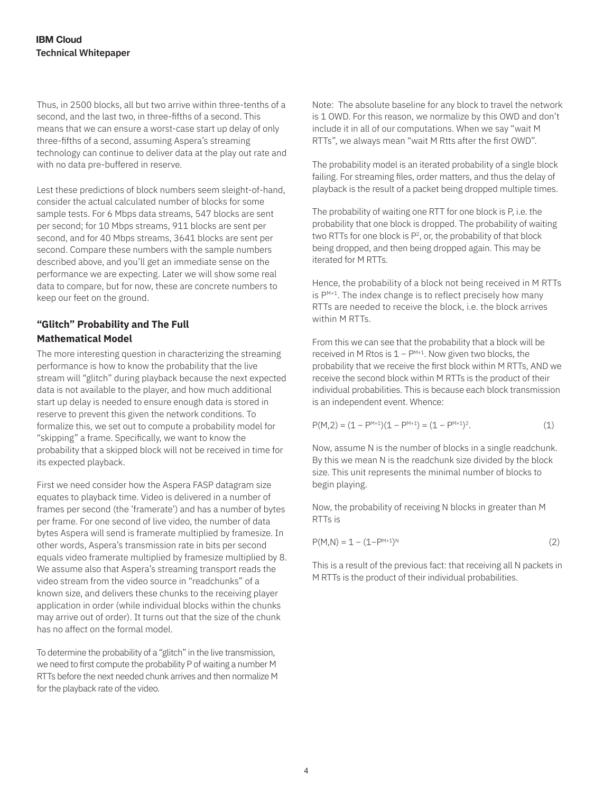Thus, in 2500 blocks, all but two arrive within three-tenths of a second, and the last two, in three-fifths of a second. This means that we can ensure a worst-case start up delay of only three-fifths of a second, assuming Aspera's streaming technology can continue to deliver data at the play out rate and with no data pre-buffered in reserve.

Lest these predictions of block numbers seem sleight-of-hand, consider the actual calculated number of blocks for some sample tests. For 6 Mbps data streams, 547 blocks are sent per second; for 10 Mbps streams, 911 blocks are sent per second, and for 40 Mbps streams, 3641 blocks are sent per second. Compare these numbers with the sample numbers described above, and you'll get an immediate sense on the performance we are expecting. Later we will show some real data to compare, but for now, these are concrete numbers to keep our feet on the ground.

## **"Glitch" Probability and The Full Mathematical Model**

The more interesting question in characterizing the streaming performance is how to know the probability that the live stream will "glitch" during playback because the next expected data is not available to the player, and how much additional start up delay is needed to ensure enough data is stored in reserve to prevent this given the network conditions. To formalize this, we set out to compute a probability model for "skipping" a frame. Specifically, we want to know the probability that a skipped block will not be received in time for its expected playback.

First we need consider how the Aspera FASP datagram size equates to playback time. Video is delivered in a number of frames per second (the 'framerate') and has a number of bytes per frame. For one second of live video, the number of data bytes Aspera will send is framerate multiplied by framesize. In other words, Aspera's transmission rate in bits per second equals video framerate multiplied by framesize multiplied by 8. We assume also that Aspera's streaming transport reads the video stream from the video source in "readchunks" of a known size, and delivers these chunks to the receiving player application in order (while individual blocks within the chunks may arrive out of order). It turns out that the size of the chunk has no affect on the formal model.

To determine the probability of a "glitch" in the live transmission, we need to first compute the probability P of waiting a number M RTTs before the next needed chunk arrives and then normalize M for the playback rate of the video.

Note: The absolute baseline for any block to travel the network is 1 OWD. For this reason, we normalize by this OWD and don't include it in all of our computations. When we say "wait M RTTs", we always mean "wait M Rtts after the first OWD".

The probability model is an iterated probability of a single block failing. For streaming files, order matters, and thus the delay of playback is the result of a packet being dropped multiple times.

The probability of waiting one RTT for one block is P, i.e. the probability that one block is dropped. The probability of waiting two RTTs for one block is  $P^2$ , or, the probability of that block being dropped, and then being dropped again. This may be iterated for M RTTs.

Hence, the probability of a block not being received in M RTTs is  $P^{M+1}$ . The index change is to reflect precisely how many RTTs are needed to receive the block, i.e. the block arrives within M RTTs.

From this we can see that the probability that a block will be received in M Rtos is 1 − PM+1. Now given two blocks, the probability that we receive the first block within M RTTs, AND we receive the second block within M RTTs is the product of their individual probabilities. This is because each block transmission is an independent event. Whence:

$$
P(M,2) = (1 - P^{M+1})(1 - P^{M+1}) = (1 - P^{M+1})^2.
$$
 (1)

Now, assume N is the number of blocks in a single readchunk. By this we mean N is the readchunk size divided by the block size. This unit represents the minimal number of blocks to begin playing.

Now, the probability of receiving N blocks in greater than M RTTs is

$$
P(M,N) = 1 - (1 - P^{M+1})^N
$$
 (2)

This is a result of the previous fact: that receiving all N packets in M RTTs is the product of their individual probabilities.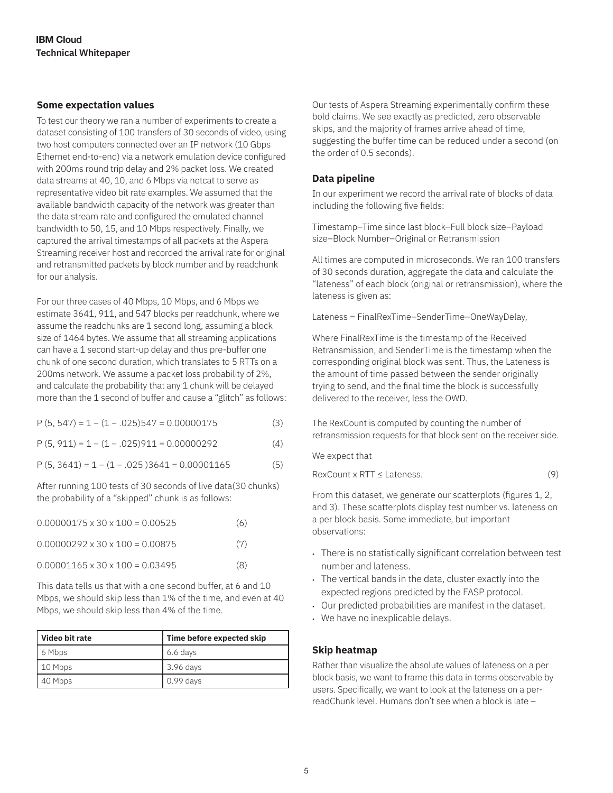## **Some expectation values**

To test our theory we ran a number of experiments to create a dataset consisting of 100 transfers of 30 seconds of video, using two host computers connected over an IP network (10 Gbps Ethernet end-to-end) via a network emulation device configured with 200ms round trip delay and 2% packet loss. We created data streams at 40, 10, and 6 Mbps via netcat to serve as representative video bit rate examples. We assumed that the available bandwidth capacity of the network was greater than the data stream rate and configured the emulated channel bandwidth to 50, 15, and 10 Mbps respectively. Finally, we captured the arrival timestamps of all packets at the Aspera Streaming receiver host and recorded the arrival rate for original and retransmitted packets by block number and by readchunk for our analysis.

For our three cases of 40 Mbps, 10 Mbps, and 6 Mbps we estimate 3641, 911, and 547 blocks per readchunk, where we assume the readchunks are 1 second long, assuming a block size of 1464 bytes. We assume that all streaming applications can have a 1 second start-up delay and thus pre-buffer one chunk of one second duration, which translates to 5 RTTs on a 200ms network. We assume a packet loss probability of 2%, and calculate the probability that any 1 chunk will be delayed more than the 1 second of buffer and cause a "glitch" as follows:

|  |  | $P(5, 547) = 1 - (1 - .025)547 = 0.00000175$ | (3) |  |
|--|--|----------------------------------------------|-----|--|
|  |  |                                              |     |  |

 $P(5, 911) = 1 - (1 - .025)911 = 0.00000292$  (4)

 $P(5, 3641) = 1 - (1 - .025)3641 = 0.00001165$  (5)

After running 100 tests of 30 seconds of live data(30 chunks) the probability of a "skipped" chunk is as follows:

| $0.00000175 \times 30 \times 100 = 0.00525$ | (6) |
|---------------------------------------------|-----|
| $0.00000292 \times 30 \times 100 = 0.00875$ | (7) |
| $0.00001165 \times 30 \times 100 = 0.03495$ | (8) |

This data tells us that with a one second buffer, at 6 and 10 Mbps, we should skip less than 1% of the time, and even at 40 Mbps, we should skip less than 4% of the time.

| Video bit rate | Time before expected skip |  |
|----------------|---------------------------|--|
| 6 Mbps         | 6.6 days                  |  |
| 10 Mbps        | 3.96 days                 |  |
| 40 Mbps        | $\vert$ 0.99 days         |  |

Our tests of Aspera Streaming experimentally confirm these bold claims. We see exactly as predicted, zero observable skips, and the majority of frames arrive ahead of time, suggesting the buffer time can be reduced under a second (on the order of 0.5 seconds).

## **Data pipeline**

In our experiment we record the arrival rate of blocks of data including the following five fields:

Timestamp–Time since last block–Full block size–Payload size–Block Number–Original or Retransmission

All times are computed in microseconds. We ran 100 transfers of 30 seconds duration, aggregate the data and calculate the "lateness" of each block (original or retransmission), where the lateness is given as:

Lateness = FinalRexTime–SenderTime–OneWayDelay,

Where FinalRexTime is the timestamp of the Received Retransmission, and SenderTime is the timestamp when the corresponding original block was sent. Thus, the Lateness is the amount of time passed between the sender originally trying to send, and the final time the block is successfully delivered to the receiver, less the OWD.

The RexCount is computed by counting the number of retransmission requests for that block sent on the receiver side.

We expect that

 $RexCount \times RTT \le Lateness.$  (9)

From this dataset, we generate our scatterplots (figures 1, 2, and 3). These scatterplots display test number vs. lateness on a per block basis. Some immediate, but important observations:

- There is no statistically significant correlation between test number and lateness.
- The vertical bands in the data, cluster exactly into the expected regions predicted by the FASP protocol.
- Our predicted probabilities are manifest in the dataset.
- We have no inexplicable delays.

#### **Skip heatmap**

Rather than visualize the absolute values of lateness on a per block basis, we want to frame this data in terms observable by users. Specifically, we want to look at the lateness on a perreadChunk level. Humans don't see when a block is late –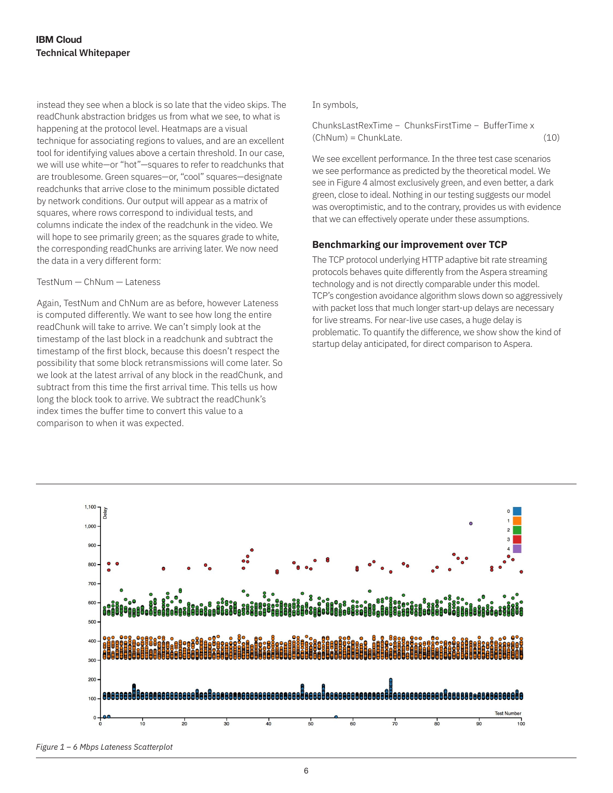instead they see when a block is so late that the video skips. The readChunk abstraction bridges us from what we see, to what is happening at the protocol level. Heatmaps are a visual technique for associating regions to values, and are an excellent tool for identifying values above a certain threshold. In our case, we will use white—or "hot"—squares to refer to readchunks that are troublesome. Green squares—or, "cool" squares—designate readchunks that arrive close to the minimum possible dictated by network conditions. Our output will appear as a matrix of squares, where rows correspond to individual tests, and columns indicate the index of the readchunk in the video. We will hope to see primarily green; as the squares grade to white, the corresponding readChunks are arriving later. We now need the data in a very different form:

#### TestNum — ChNum — Lateness

Again, TestNum and ChNum are as before, however Lateness is computed differently. We want to see how long the entire readChunk will take to arrive. We can't simply look at the timestamp of the last block in a readchunk and subtract the timestamp of the first block, because this doesn't respect the possibility that some block retransmissions will come later. So we look at the latest arrival of any block in the readChunk, and subtract from this time the first arrival time. This tells us how long the block took to arrive. We subtract the readChunk's index times the buffer time to convert this value to a comparison to when it was expected.

#### In symbols,

ChunksLastRexTime − ChunksFirstTime − BufferTime x  $(ChNum) = ChunkLate.$  (10)

We see excellent performance. In the three test case scenarios we see performance as predicted by the theoretical model. We see in Figure 4 almost exclusively green, and even better, a dark green, close to ideal. Nothing in our testing suggests our model was overoptimistic, and to the contrary, provides us with evidence that we can effectively operate under these assumptions.

#### **Benchmarking our improvement over TCP**

The TCP protocol underlying HTTP adaptive bit rate streaming protocols behaves quite differently from the Aspera streaming technology and is not directly comparable under this model. TCP's congestion avoidance algorithm slows down so aggressively with packet loss that much longer start-up delays are necessary for live streams. For near-live use cases, a huge delay is problematic. To quantify the difference, we show show the kind of startup delay anticipated, for direct comparison to Aspera.



*Figure 1 – 6 Mbps Lateness Scatterplot*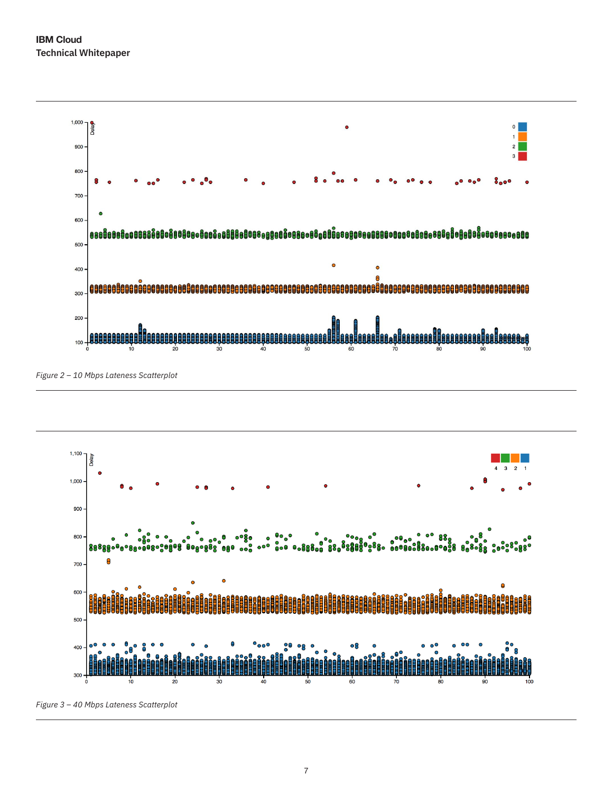

*Figure 2 – 10 Mbps Lateness Scatterplot*



*Figure 3 – 40 Mbps Lateness Scatterplot*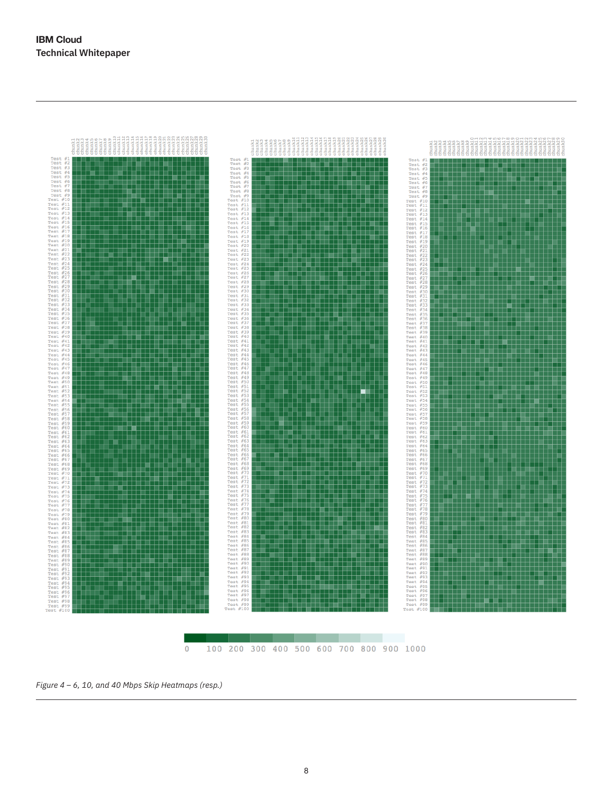

*Figure 4 – 6, 10, and 40 Mbps Skip Heatmaps (resp.)*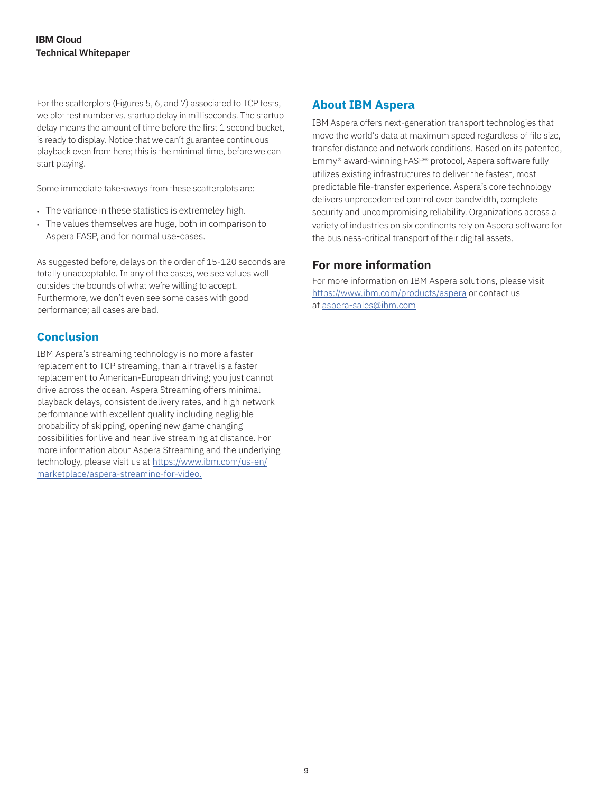For the scatterplots (Figures 5, 6, and 7) associated to TCP tests, we plot test number vs. startup delay in milliseconds. The startup delay means the amount of time before the first 1 second bucket, is ready to display. Notice that we can't guarantee continuous playback even from here; this is the minimal time, before we can start playing.

Some immediate take-aways from these scatterplots are:

- The variance in these statistics is extremeley high.
- The values themselves are huge, both in comparison to Aspera FASP, and for normal use-cases.

As suggested before, delays on the order of 15-120 seconds are totally unacceptable. In any of the cases, we see values well outsides the bounds of what we're willing to accept. Furthermore, we don't even see some cases with good performance; all cases are bad.

## **Conclusion**

IBM Aspera's streaming technology is no more a faster replacement to TCP streaming, than air travel is a faster replacement to American-European driving; you just cannot drive across the ocean. Aspera Streaming offers minimal playback delays, consistent delivery rates, and high network performance with excellent quality including negligible probability of skipping, opening new game changing possibilities for live and near live streaming at distance. For more information about Aspera Streaming and the underlying technology, please visit us at [https://www.ibm.com/us-en/](https://www.ibm.com/us-en/marketplace/aspera-streaming-for-video) [marketplace/aspera-streaming-for-video](https://www.ibm.com/us-en/marketplace/aspera-streaming-for-video).

## **About IBM Aspera**

IBM Aspera offers next-generation transport technologies that move the world's data at maximum speed regardless of file size, transfer distance and network conditions. Based on its patented, Emmy® award-winning FASP® protocol, Aspera software fully utilizes existing infrastructures to deliver the fastest, most predictable file-transfer experience. Aspera's core technology delivers unprecedented control over bandwidth, complete security and uncompromising reliability. Organizations across a variety of industries on six continents rely on Aspera software for the business-critical transport of their digital assets.

## **For more information**

For more information on IBM Aspera solutions, please visit <https://www.ibm.com/products/aspera> or contact us at [aspera-sales@ibm.com](mailto:aspera-sales%40ibm.com?subject=IBM%20Aspera%20Streaming%20WP)